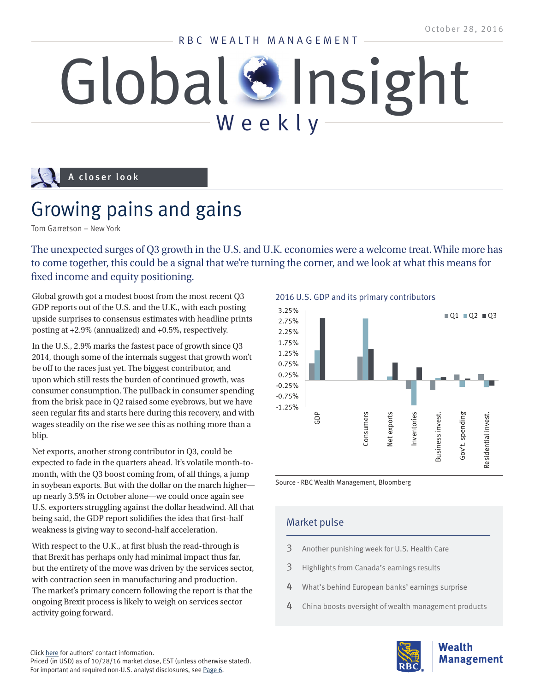#### RBC WEALTH MANAGEMENT

# Global Sinsight

### A closer look

## Growing pains and gains

Tom Garretson – New York

The unexpected surges of Q3 growth in the U.S. and U.K. economies were a welcome treat. While more has to come together, this could be a signal that we're turning the corner, and we look at what this means for fixed income and equity positioning.

Global growth got a modest boost from the most recent Q3 GDP reports out of the U.S. and the U.K., with each posting upside surprises to consensus estimates with headline prints posting at +2.9% (annualized) and +0.5%, respectively.

In the U.S., 2.9% marks the fastest pace of growth since Q3 2014, though some of the internals suggest that growth won't be off to the races just yet. The biggest contributor, and upon which still rests the burden of continued growth, was consumer consumption. The pullback in consumer spending from the brisk pace in Q2 raised some eyebrows, but we have seen regular fits and starts here during this recovery, and with wages steadily on the rise we see this as nothing more than a blip.

Net exports, another strong contributor in Q3, could be expected to fade in the quarters ahead. It's volatile month-tomonth, with the Q3 boost coming from, of all things, a jump in soybean exports. But with the dollar on the march higher up nearly 3.5% in October alone—we could once again see U.S. exporters struggling against the dollar headwind. All that being said, the GDP report solidifies the idea that first-half weakness is giving way to second-half acceleration.

With respect to the U.K., at first blush the read-through is that Brexit has perhaps only had minimal impact thus far, but the entirety of the move was driven by the services sector, with contraction seen in manufacturing and production. The market's primary concern following the report is that the ongoing Brexit process is likely to weigh on services sector activity going forward.

2016 U.S. GDP and its primary contributors



Source - RBC Wealth Management, Bloomberg

#### Market pulse

- [3](#page-2-0) Another punishing week for U.S. Health Care
- [3](#page-2-0) Highlights from Canada's earnings result[s](#page-2-0)
- [4](#page-3-0) What's behind European banks' earnings surprise
- [4](#page-3-0) China boost[s](#page-2-0) oversight of wealth management products

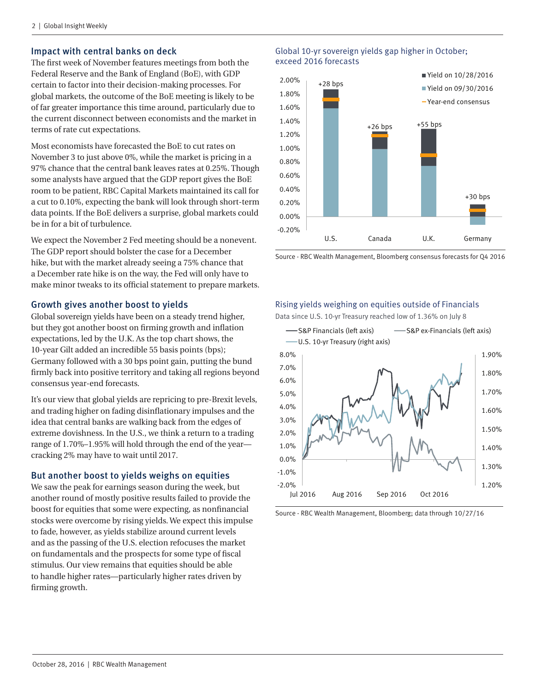#### Impact with central banks on deck

The first week of November features meetings from both the Federal Reserve and the Bank of England (BoE), with GDP certain to factor into their decision-making processes. For global markets, the outcome of the BoE meeting is likely to be of far greater importance this time around, particularly due to the current disconnect between economists and the market in terms of rate cut expectations.

Most economists have forecasted the BoE to cut rates on November 3 to just above 0%, while the market is pricing in a 97% chance that the central bank leaves rates at 0.25%. Though some analysts have argued that the GDP report gives the BoE room to be patient, RBC Capital Markets maintained its call for a cut to 0.10%, expecting the bank will look through short-term data points. If the BoE delivers a surprise, global markets could be in for a bit of turbulence.

We expect the November 2 Fed meeting should be a nonevent. The GDP report should bolster the case for a December hike, but with the market already seeing a 75% chance that a December rate hike is on the way, the Fed will only have to make minor tweaks to its official statement to prepare markets.

#### Growth gives another boost to yields

Global sovereign yields have been on a steady trend higher, but they got another boost on firming growth and inflation expectations, led by the U.K. As the top chart shows, the 10-year Gilt added an incredible 55 basis points (bps); Germany followed with a 30 bps point gain, putting the bund firmly back into positive territory and taking all regions beyond consensus year-end forecasts.

It's our view that global yields are repricing to pre-Brexit levels, and trading higher on fading disinflationary impulses and the idea that central banks are walking back from the edges of extreme dovishness. In the U.S., we think a return to a trading range of 1.70%–1.95% will hold through the end of the year cracking 2% may have to wait until 2017.

#### But another boost to yields weighs on equities

We saw the peak for earnings season during the week, but another round of mostly positive results failed to provide the boost for equities that some were expecting, as nonfinancial stocks were overcome by rising yields. We expect this impulse to fade, however, as yields stabilize around current levels and as the passing of the U.S. election refocuses the market on fundamentals and the prospects for some type of fiscal stimulus. Our view remains that equities should be able to handle higher rates—particularly higher rates driven by firming growth.

#### Global 10-yr sovereign yields gap higher in October; exceed 2016 forecasts



Source - RBC Wealth Management, Bloomberg consensus forecasts for Q4 2016

#### Rising yields weighing on equities outside of Financials

Data since U.S. 10-yr Treasury reached low of 1.36% on July 8



Source - RBC Wealth Management, Bloomberg; data through 10/27/16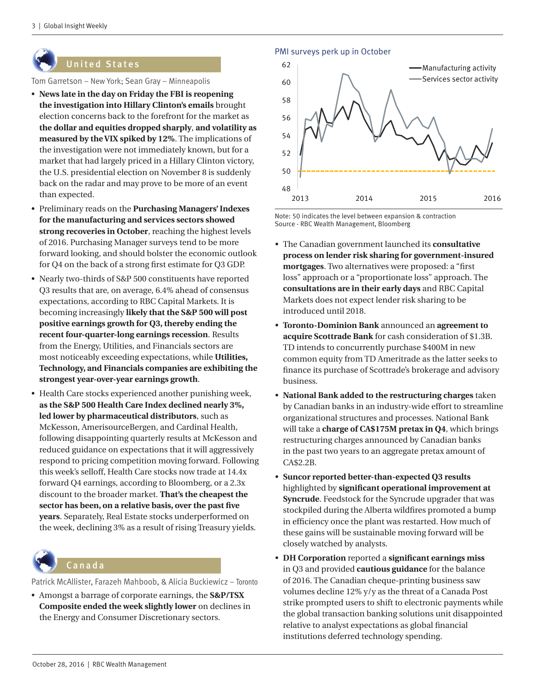<span id="page-2-0"></span>

#### **United States**

Tom Garretson – New York; Sean Gray – Minneapolis

- **News late in the day on Friday the FBI is reopening the investigation into Hillary Clinton's emails** brought election concerns back to the forefront for the market as **the dollar and equities dropped sharply**, **and volatility as measured by the VIX spiked by 12%**. The implications of the investigation were not immediately known, but for a market that had largely priced in a Hillary Clinton victory, the U.S. presidential election on November 8 is suddenly back on the radar and may prove to be more of an event than expected.
- Preliminary reads on the **Purchasing Managers' Indexes for the manufacturing and services sectors showed strong recoveries in October**, reaching the highest levels of 2016. Purchasing Manager surveys tend to be more forward looking, and should bolster the economic outlook for Q4 on the back of a strong first estimate for Q3 GDP.
- Nearly two-thirds of S&P 500 constituents have reported Q3 results that are, on average, 6.4% ahead of consensus expectations, according to RBC Capital Markets. It is becoming increasingly **likely that the S&P 500 will post positive earnings growth for Q3, thereby ending the recent four-quarter-long earnings recession**. Results from the Energy, Utilities, and Financials sectors are most noticeably exceeding expectations, while **Utilities, Technology, and Financials companies are exhibiting the strongest year-over-year earnings growth**.
- Health Care stocks experienced another punishing week, **as the S&P 500 Health Care Index declined nearly 3%, led lower by pharmaceutical distributors**, such as McKesson, AmerisourceBergen, and Cardinal Health, following disappointing quarterly results at McKesson and reduced guidance on expectations that it will aggressively respond to pricing competition moving forward. Following this week's selloff, Health Care stocks now trade at 14.4x forward Q4 earnings, according to Bloomberg, or a 2.3x discount to the broader market. **That's the cheapest the sector has been, on a relative basis, over the past five years**. Separately, Real Estate stocks underperformed on the week, declining 3% as a result of rising Treasury yields.



#### C a n a d a

Patrick McAllister, Farazeh Mahboob, & Alicia Buckiewicz – Toronto

• Amongst a barrage of corporate earnings, the **S&P/TSX Composite ended the week slightly lower** on declines in the Energy and Consumer Discretionary sectors.

PMI surveys perk up in October



Note: 50 indicates the level between expansion & contraction Source - RBC Wealth Management, Bloomberg

- The Canadian government launched its **consultative process on lender risk sharing for government-insured mortgages**. Two alternatives were proposed: a "first loss" approach or a "proportionate loss" approach. The **consultations are in their early days** and RBC Capital Markets does not expect lender risk sharing to be introduced until 2018.
- **Toronto-Dominion Bank** announced an **agreement to acquire Scottrade Bank** for cash consideration of \$1.3B. TD intends to concurrently purchase \$400M in new common equity from TD Ameritrade as the latter seeks to finance its purchase of Scottrade's brokerage and advisory business.
- **National Bank added to the restructuring charges** taken by Canadian banks in an industry-wide effort to streamline organizational structures and processes. National Bank will take a **charge of CA\$175M pretax in Q4**, which brings restructuring charges announced by Canadian banks in the past two years to an aggregate pretax amount of CA\$2.2B.
- **Suncor reported better-than-expected Q3 results** highlighted by **significant operational improvement at Syncrude**. Feedstock for the Syncrude upgrader that was stockpiled during the Alberta wildfires promoted a bump in efficiency once the plant was restarted. How much of these gains will be sustainable moving forward will be closely watched by analysts.
- **DH Corporation** reported a **significant earnings miss** in Q3 and provided **cautious guidance** for the balance of 2016. The Canadian cheque-printing business saw volumes decline 12% y/y as the threat of a Canada Post strike prompted users to shift to electronic payments while the global transaction banking solutions unit disappointed relative to analyst expectations as global financial institutions deferred technology spending.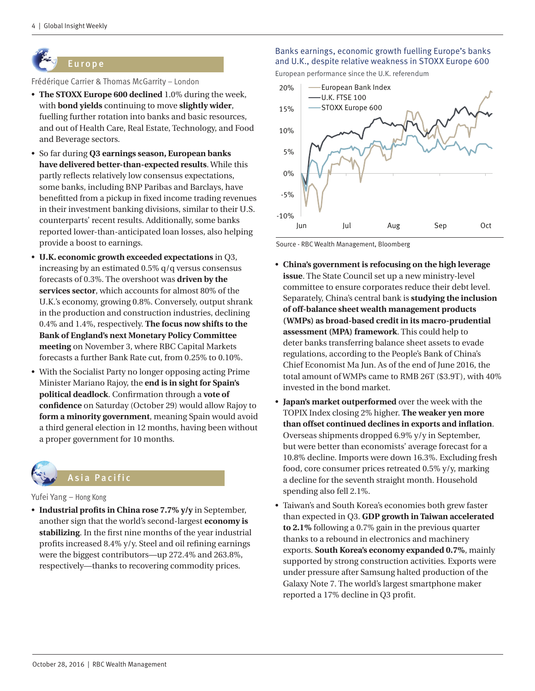## <span id="page-3-0"></span>Europe

Frédérique Carrier & Thomas McGarrity – London

- **The STOXX Europe 600 declined** 1.0% during the week, with **bond yields** continuing to move **slightly wider**, fuelling further rotation into banks and basic resources, and out of Health Care, Real Estate, Technology, and Food and Beverage sectors.
- So far during **Q3 earnings season, European banks have delivered better-than-expected results**. While this partly reflects relatively low consensus expectations, some banks, including BNP Paribas and Barclays, have benefitted from a pickup in fixed income trading revenues in their investment banking divisions, similar to their U.S. counterparts' recent results. Additionally, some banks reported lower-than-anticipated loan losses, also helping provide a boost to earnings.
- **U.K. economic growth exceeded expectations** in Q3, increasing by an estimated 0.5% q/q versus consensus forecasts of 0.3%. The overshoot was **driven by the services sector**, which accounts for almost 80% of the U.K.'s economy, growing 0.8%. Conversely, output shrank in the production and construction industries, declining 0.4% and 1.4%, respectively. **The focus now shifts to the Bank of England's next Monetary Policy Committee meeting** on November 3, where RBC Capital Markets forecasts a further Bank Rate cut, from 0.25% to 0.10%.
- With the Socialist Party no longer opposing acting Prime Minister Mariano Rajoy, the **end is in sight for Spain's political deadlock**. Confirmation through a **vote of confidence** on Saturday (October 29) would allow Rajoy to **form a minority government**, meaning Spain would avoid a third general election in 12 months, having been without a proper government for 10 months.



#### Yufei Yang – Hong Kong

• **Industrial profits in China rose 7.7% y/y** in September, another sign that the world's second-largest **economy is stabilizing**. In the first nine months of the year industrial profits increased 8.4% y/y. Steel and oil refining earnings were the biggest contributors—up 272.4% and 263.8%, respectively—thanks to recovering commodity prices.

#### Banks earnings, economic growth fuelling Europe's banks and U.K., despite relative weakness in STOXX Europe 600

European performance since the U.K. referendum



Source - RBC Wealth Management, Bloomberg

- **China's government is refocusing on the high leverage issue**. The State Council set up a new ministry-level committee to ensure corporates reduce their debt level. Separately, China's central bank is **studying the inclusion of off-balance sheet wealth management products (WMPs) as broad-based credit in its macro-prudential assessment (MPA) framework**. This could help to deter banks transferring balance sheet assets to evade regulations, according to the People's Bank of China's Chief Economist Ma Jun. As of the end of June 2016, the total amount of WMPs came to RMB 26T (\$3.9T), with 40% invested in the bond market.
- **Japan's market outperformed** over the week with the TOPIX Index closing 2% higher. **The weaker yen more than offset continued declines in exports and inflation**. Overseas shipments dropped 6.9% y/y in September, but were better than economists' average forecast for a 10.8% decline. Imports were down 16.3%. Excluding fresh food, core consumer prices retreated 0.5% y/y, marking a decline for the seventh straight month. Household spending also fell 2.1%.
- Taiwan's and South Korea's economies both grew faster than expected in Q3. **GDP growth in Taiwan accelerated to 2.1%** following a 0.7% gain in the previous quarter thanks to a rebound in electronics and machinery exports. **South Korea's economy expanded 0.7%**, mainly supported by strong construction activities. Exports were under pressure after Samsung halted production of the Galaxy Note 7. The world's largest smartphone maker reported a 17% decline in Q3 profit.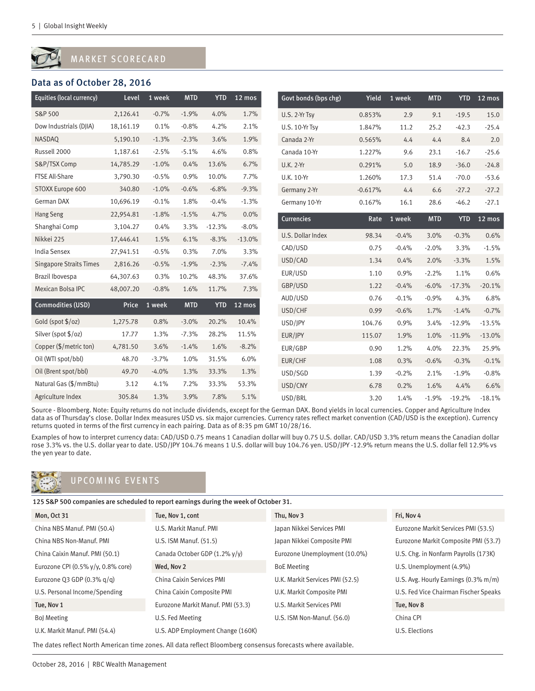#### MARKET SCORECARD

#### Data as of October 28, 2016

| Equities (local currency)      | Level     | 1 week  | <b>MTD</b> | <b>YTD</b> | 12 mos     | Govt bonds (bps chg) | Yield     | 1 week  | <b>MTD</b> | <b>YTD</b> | 12 mos   |
|--------------------------------|-----------|---------|------------|------------|------------|----------------------|-----------|---------|------------|------------|----------|
| S&P 500                        | 2,126.41  | $-0.7%$ | $-1.9%$    | 4.0%       | 1.7%       | U.S. 2-Yr Tsy        | 0.853%    | 2.9     | 9.1        | $-19.5$    | 15.0     |
| Dow Industrials (DJIA)         | 18,161.19 | 0.1%    | $-0.8%$    | 4.2%       | 2.1%       | U.S. 10-Yr Tsy       | 1.847%    | 11.2    | 25.2       | $-42.3$    | $-25.4$  |
| NASDAQ                         | 5,190.10  | $-1.3%$ | $-2.3%$    | 3.6%       | 1.9%       | Canada 2-Yr          | 0.565%    | 4.4     | 4.4        | 8.4        | 2.0      |
| Russell 2000                   | 1,187.61  | $-2.5%$ | $-5.1%$    | 4.6%       | 0.8%       | Canada 10-Yr         | 1.227%    | 9.6     | 23.1       | $-16.7$    | $-25.6$  |
| S&P/TSX Comp                   | 14,785.29 | $-1.0%$ | 0.4%       | 13.6%      | 6.7%       | <b>U.K. 2-Yr</b>     | 0.291%    | 5.0     | 18.9       | $-36.0$    | $-24.8$  |
| FTSE All-Share                 | 3,790.30  | $-0.5%$ | 0.9%       | 10.0%      | 7.7%       | U.K. 10-Yr           | 1.260%    | 17.3    | 51.4       | $-70.0$    | $-53.6$  |
| STOXX Europe 600               | 340.80    | $-1.0%$ | $-0.6%$    | $-6.8%$    | $-9.3%$    | Germany 2-Yr         | $-0.617%$ | 4.4     | 6.6        | $-27.2$    | $-27.2$  |
| German DAX                     | 10,696.19 | $-0.1%$ | 1.8%       | $-0.4%$    | $-1.3%$    | Germany 10-Yr        | 0.167%    | 16.1    | 28.6       | $-46.2$    | $-27.1$  |
| Hang Seng                      | 22,954.81 | $-1.8%$ | $-1.5%$    | 4.7%       | 0.0%       | <b>Currencies</b>    | Rate      | 1 week  | <b>MTD</b> | <b>YTD</b> | 12 mos   |
| Shanghai Comp                  | 3,104.27  | 0.4%    | 3.3%       | $-12.3%$   | $-8.0%$    |                      |           |         |            |            |          |
| Nikkei 225                     | 17,446.41 | 1.5%    | 6.1%       | $-8.3%$    | $-13.0%$   | U.S. Dollar Index    | 98.34     | $-0.4%$ | 3.0%       | $-0.3%$    | 0.6%     |
| <b>India Sensex</b>            | 27,941.51 | $-0.5%$ | 0.3%       | 7.0%       | 3.3%       | CAD/USD              | 0.75      | $-0.4%$ | $-2.0%$    | 3.3%       | $-1.5%$  |
| <b>Singapore Straits Times</b> | 2,816.26  | $-0.5%$ | $-1.9%$    | $-2.3%$    | $-7.4%$    | USD/CAD              | 1.34      | 0.4%    | 2.0%       | $-3.3%$    | 1.5%     |
| Brazil Ibovespa                | 64,307.63 | 0.3%    | 10.2%      | 48.3%      | 37.6%      | EUR/USD              | 1.10      | 0.9%    | $-2.2%$    | 1.1%       | 0.6%     |
| Mexican Bolsa IPC              | 48,007.20 | $-0.8%$ | 1.6%       | 11.7%      | 7.3%       | GBP/USD              | 1.22      | $-0.4%$ | $-6.0%$    | $-17.3%$   | $-20.1%$ |
| Commodities (USD)              | Price     | 1 week  | <b>MTD</b> |            | YTD 12 mos | AUD/USD              | 0.76      | $-0.1%$ | $-0.9%$    | 4.3%       | 6.8%     |
|                                |           |         |            |            |            | USD/CHF              | 0.99      | $-0.6%$ | 1.7%       | $-1.4%$    | $-0.7%$  |
| Gold (spot $\frac{6}{2}$ /oz)  | 1,275.78  | 0.8%    | $-3.0%$    | 20.2%      | 10.4%      | USD/JPY              | 104.76    | 0.9%    | 3.4%       | $-12.9%$   | $-13.5%$ |
| Silver (spot \$/oz)            | 17.77     | 1.3%    | $-7.3%$    | 28.2%      | 11.5%      | EUR/JPY              | 115.07    | 1.9%    | 1.0%       | $-11.9%$   | $-13.0%$ |
| Copper (\$/metric ton)         | 4,781.50  | 3.6%    | $-1.4%$    | 1.6%       | $-8.2%$    | EUR/GBP              | 0.90      | 1.2%    | 4.0%       | 22.3%      | 25.9%    |
| Oil (WTI spot/bbl)             | 48.70     | $-3.7%$ | 1.0%       | 31.5%      | 6.0%       | EUR/CHF              | 1.08      | 0.3%    | $-0.6%$    | $-0.3%$    | $-0.1%$  |
| Oil (Brent spot/bbl)           | 49.70     | $-4.0%$ | 1.3%       | 33.3%      | 1.3%       | USD/SGD              | 1.39      | $-0.2%$ | 2.1%       | $-1.9%$    | $-0.8%$  |
| Natural Gas (\$/mmBtu)         | 3.12      | 4.1%    | 7.2%       | 33.3%      | 53.3%      | USD/CNY              | 6.78      | 0.2%    | 1.6%       | 4.4%       | 6.6%     |
| Agriculture Index              | 305.84    | 1.3%    | 3.9%       | 7.8%       | 5.1%       | USD/BRL              | 3.20      | 1.4%    | $-1.9%$    | $-19.2%$   | $-18.1%$ |

Source - Bloomberg. Note: Equity returns do not include dividends, except for the German DAX. Bond yields in local currencies. Copper and Agriculture Index data as of Thursday's close. Dollar Index measures USD vs. six major currencies. Currency rates reflect market convention (CAD/USD is the exception). Currency returns quoted in terms of the first currency in each pairing. Data as of 8:35 pm GMT 10/28/16.

Examples of how to interpret currency data: CAD/USD 0.75 means 1 Canadian dollar will buy 0.75 U.S. dollar. CAD/USD 3.3% return means the Canadian dollar rose 3.3% vs. the U.S. dollar year to date. USD/JPY 104.76 means 1 U.S. dollar will buy 104.76 yen. USD/JPY -12.9% return means the U.S. dollar fell 12.9% vs the yen year to date.



#### UPCOMING EVENTS

125 S&P 500 companies are scheduled to report earnings during the week of October 31.

| Mon, Oct 31                           | Tue, Nov 1, cont                  | Thu, Nov 3                      | Fri, Nov 4                            |
|---------------------------------------|-----------------------------------|---------------------------------|---------------------------------------|
| China NBS Manuf. PMI (50.4)           | U.S. Markit Manuf. PMI            | Japan Nikkei Services PMI       | Eurozone Markit Services PMI (53.5)   |
| China NBS Non-Manuf, PMI              | U.S. ISM Manuf. (51.5)            | Japan Nikkei Composite PMI      | Eurozone Markit Composite PMI (53.7)  |
| China Caixin Manuf. PMI (50.1)        | Canada October GDP (1.2% y/y)     | Eurozone Unemployment (10.0%)   | U.S. Chg. in Nonfarm Payrolls (173K)  |
| Eurozone CPI (0.5% $v/v$ , 0.8% core) | Wed. Nov 2                        | <b>BoE Meeting</b>              | U.S. Unemployment (4.9%)              |
| Eurozone Q3 GDP $(0.3\%$ g/g)         | China Caixin Services PMI         | U.K. Markit Services PMI (52.5) | U.S. Avg. Hourly Earnings (0.3% m/m)  |
| U.S. Personal Income/Spending         | China Caixin Composite PMI        | U.K. Markit Composite PMI       | U.S. Fed Vice Chairman Fischer Speaks |
| Tue, Nov 1                            | Eurozone Markit Manuf. PMI (53.3) | U.S. Markit Services PMI        | Tue, Nov 8                            |
| <b>Bol Meeting</b>                    | U.S. Fed Meeting                  | U.S. ISM Non-Manuf. (56.0)      | China CPI                             |
| U.K. Markit Manuf. PMI (54.4)         | U.S. ADP Employment Change (160K) |                                 | U.S. Elections                        |
|                                       |                                   |                                 |                                       |

The dates reflect North American time zones. All data reflect Bloomberg consensus forecasts where available.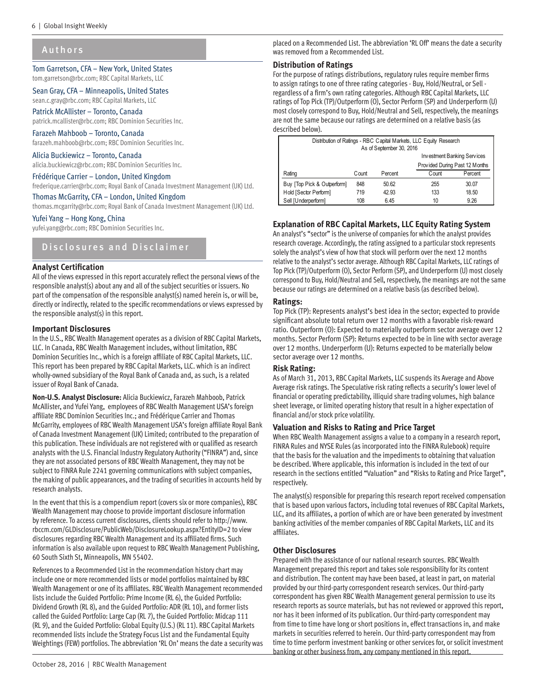#### <span id="page-5-0"></span>Authors

Tom Garretson, CFA – New York, United States tom.garretson@rbc.com; RBC Capital Markets, LLC

#### Sean Gray, CFA – Minneapolis, United States sean.c.gray@rbc.com; RBC Capital Markets, LLC

Patrick McAllister – Toronto, Canada patrick.mcallister@rbc.com; RBC Dominion Securities Inc.

Farazeh Mahboob – Toronto, Canada farazeh.mahboob@rbc.com; RBC Dominion Securities Inc.

Alicia Buckiewicz – Toronto, Canada alicia.buckiewicz@rbc.com; RBC Dominion Securities Inc.

#### Frédérique Carrier – London, United Kingdom

frederique.carrier@rbc.com; Royal Bank of Canada Investment Management (UK) Ltd.

#### Thomas McGarrity, CFA – London, United Kingdom

thomas.mcgarrity@rbc.com; Royal Bank of Canada Investment Management (UK) Ltd.

#### Yufei Yang – Hong Kong, China

yufei.yang@rbc.com; RBC Dominion Securities Inc.

#### Disclosures and Disclaimer

#### **Analyst Certification**

All of the views expressed in this report accurately reflect the personal views of the responsible analyst(s) about any and all of the subject securities or issuers. No part of the compensation of the responsible analyst(s) named herein is, or will be, directly or indirectly, related to the specific recommendations or views expressed by the responsible analyst(s) in this report.

#### **Important Disclosures**

In the U.S., RBC Wealth Management operates as a division of RBC Capital Markets, LLC. In Canada, RBC Wealth Management includes, without limitation, RBC Dominion Securities Inc., which is a foreign affiliate of RBC Capital Markets, LLC. This report has been prepared by RBC Capital Markets, LLC. which is an indirect wholly-owned subsidiary of the Royal Bank of Canada and, as such, is a related issuer of Royal Bank of Canada.

**Non-U.S. Analyst Disclosure:** Alicia Buckiewicz, Farazeh Mahboob, Patrick McAllister, and Yufei Yang, employees of RBC Wealth Management USA's foreign affiliate RBC Dominion Securities Inc.; and Frédérique Carrier and Thomas McGarrity, employees of RBC Wealth Management USA's foreign affiliate Royal Bank of Canada Investment Management (UK) Limited; contributed to the preparation of this publication. These individuals are not registered with or qualified as research analysts with the U.S. Financial Industry Regulatory Authority ("FINRA") and, since they are not associated persons of RBC Wealth Management, they may not be subject to FINRA Rule 2241 governing communications with subject companies, the making of public appearances, and the trading of securities in accounts held by research analysts.

In the event that this is a compendium report (covers six or more companies), RBC Wealth Management may choose to provide important disclosure information by reference. To access current disclosures, clients should refer to http://www. rbccm.com/GLDisclosure/PublicWeb/DisclosureLookup.aspx?EntityID=2 to view disclosures regarding RBC Wealth Management and its affiliated firms. Such information is also available upon request to RBC Wealth Management Publishing, 60 South Sixth St, Minneapolis, MN 55402.

References to a Recommended List in the recommendation history chart may include one or more recommended lists or model portfolios maintained by RBC Wealth Management or one of its affiliates. RBC Wealth Management recommended lists include the Guided Portfolio: Prime Income (RL 6), the Guided Portfolio: Dividend Growth (RL 8), and the Guided Portfolio: ADR (RL 10), and former lists called the Guided Portfolio: Large Cap (RL 7), the Guided Portfolio: Midcap 111 (RL 9), and the Guided Portfolio: Global Equity (U.S.) (RL 11). RBC Capital Markets recommended lists include the Strategy Focus List and the Fundamental Equity Weightings (FEW) portfolios. The abbreviation 'RL On' means the date a security was placed on a Recommended List. The abbreviation 'RL Off' means the date a security was removed from a Recommended List.

#### **Distribution of Ratings**

For the purpose of ratings distributions, regulatory rules require member firms to assign ratings to one of three rating categories - Buy, Hold/Neutral, or Sell regardless of a firm's own rating categories. Although RBC Capital Markets, LLC ratings of Top Pick (TP)/Outperform (O), Sector Perform (SP) and Underperform (U) most closely correspond to Buy, Hold/Neutral and Sell, respectively, the meanings are not the same because our ratings are determined on a relative basis (as described below).

| Distribution of Ratings - RBC Capital Markets, LLC Equity Research<br>As of September 30, 2016 |       |         |                                |         |  |  |  |
|------------------------------------------------------------------------------------------------|-------|---------|--------------------------------|---------|--|--|--|
|                                                                                                |       |         | Investment Banking Services    |         |  |  |  |
|                                                                                                |       |         | Provided During Past 12 Months |         |  |  |  |
| Rating                                                                                         | Count | Percent | Count                          | Percent |  |  |  |
| Buy [Top Pick & Outperform]                                                                    | 848   | 50.62   | 255                            | 30.07   |  |  |  |
| Hold [Sector Perform]                                                                          | 719   | 42.93   | 133                            | 18.50   |  |  |  |
| Sell [Underperform]                                                                            | 108   | 6.45    | 10                             | 9.26    |  |  |  |

#### **Explanation of RBC Capital Markets, LLC Equity Rating System**

An analyst's "sector" is the universe of companies for which the analyst provides research coverage. Accordingly, the rating assigned to a particular stock represents solely the analyst's view of how that stock will perform over the next 12 months relative to the analyst's sector average. Although RBC Capital Markets, LLC ratings of Top Pick (TP)/Outperform (O), Sector Perform (SP), and Underperform (U) most closely correspond to Buy, Hold/Neutral and Sell, respectively, the meanings are not the same because our ratings are determined on a relative basis (as described below).

#### **Ratings:**

Top Pick (TP): Represents analyst's best idea in the sector; expected to provide significant absolute total return over 12 months with a favorable risk-reward ratio. Outperform (O): Expected to materially outperform sector average over 12 months. Sector Perform (SP): Returns expected to be in line with sector average over 12 months. Underperform (U): Returns expected to be materially below sector average over 12 months.

#### **Risk Rating:**

As of March 31, 2013, RBC Capital Markets, LLC suspends its Average and Above Average risk ratings. The Speculative risk rating reflects a security's lower level of financial or operating predictability, illiquid share trading volumes, high balance sheet leverage, or limited operating history that result in a higher expectation of financial and/or stock price volatility.

#### **Valuation and Risks to Rating and Price Target**

When RBC Wealth Management assigns a value to a company in a research report, FINRA Rules and NYSE Rules (as incorporated into the FINRA Rulebook) require that the basis for the valuation and the impediments to obtaining that valuation be described. Where applicable, this information is included in the text of our research in the sections entitled "Valuation" and "Risks to Rating and Price Target", respectively.

The analyst(s) responsible for preparing this research report received compensation that is based upon various factors, including total revenues of RBC Capital Markets, LLC, and its affiliates, a portion of which are or have been generated by investment banking activities of the member companies of RBC Capital Markets, LLC and its affiliates.

#### **Other Disclosures**

Prepared with the assistance of our national research sources. RBC Wealth Management prepared this report and takes sole responsibility for its content and distribution. The content may have been based, at least in part, on material provided by our third-party correspondent research services. Our third-party correspondent has given RBC Wealth Management general permission to use its research reports as source materials, but has not reviewed or approved this report, nor has it been informed of its publication. Our third-party correspondent may from time to time have long or short positions in, effect transactions in, and make markets in securities referred to herein. Our third-party correspondent may from time to time perform investment banking or other services for, or solicit investment banking or other business from, any company mentioned in this report.